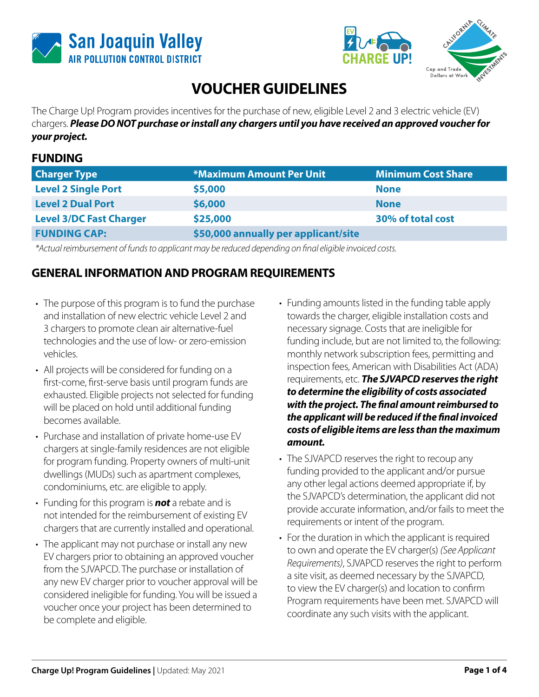





# **VOUCHER GUIDELINES**

The Charge Up! Program provides incentives for the purchase of new, eligible Level 2 and 3 electric vehicle (EV) chargers. *Please DO NOT purchase or install any chargers until you have received an approved voucher for your project.*

#### **FUNDING**

| <b>Charger Type</b>            | <b>*Maximum Amount Per Unit</b>      | <b>Minimum Cost Share</b> |
|--------------------------------|--------------------------------------|---------------------------|
| <b>Level 2 Single Port</b>     | \$5,000                              | <b>None</b>               |
| <b>Level 2 Dual Port</b>       | \$6,000                              | <b>None</b>               |
| <b>Level 3/DC Fast Charger</b> | \$25,000                             | 30% of total cost         |
| <b>FUNDING CAP:</b>            | \$50,000 annually per applicant/site |                           |

*\*Actual reimbursement of funds to applicant may be reduced depending on final eligible invoiced costs.*

#### **GENERAL INFORMATION AND PROGRAM REQUIREMENTS**

- The purpose of this program is to fund the purchase and installation of new electric vehicle Level 2 and 3 chargers to promote clean air alternative-fuel technologies and the use of low- or zero-emission vehicles.
- All projects will be considered for funding on a first-come, first-serve basis until program funds are exhausted. Eligible projects not selected for funding will be placed on hold until additional funding becomes available.
- Purchase and installation of private home-use EV chargers at single-family residences are not eligible for program funding. Property owners of multi-unit dwellings (MUDs) such as apartment complexes, condominiums, etc. are eligible to apply.
- Funding for this program is *not* a rebate and is not intended for the reimbursement of existing EV chargers that are currently installed and operational.
- The applicant may not purchase or install any new EV chargers prior to obtaining an approved voucher from the SJVAPCD. The purchase or installation of any new EV charger prior to voucher approval will be considered ineligible for funding. You will be issued a voucher once your project has been determined to be complete and eligible.
- Funding amounts listed in the funding table apply towards the charger, eligible installation costs and necessary signage. Costs that are ineligible for funding include, but are not limited to, the following: monthly network subscription fees, permitting and inspection fees, American with Disabilities Act (ADA) requirements, etc. *The SJVAPCD reserves the right to determine the eligibility of costs associated with the project. The final amount reimbursed to the applicant will be reduced if the final invoiced costs of eligible items are less than the maximum amount.*
- The SJVAPCD reserves the right to recoup any funding provided to the applicant and/or pursue any other legal actions deemed appropriate if, by the SJVAPCD's determination, the applicant did not provide accurate information, and/or fails to meet the requirements or intent of the program.
- For the duration in which the applicant is required to own and operate the EV charger(s) *(See Applicant Requirements)*, SJVAPCD reserves the right to perform a site visit, as deemed necessary by the SJVAPCD, to view the EV charger(s) and location to confirm Program requirements have been met. SJVAPCD will coordinate any such visits with the applicant.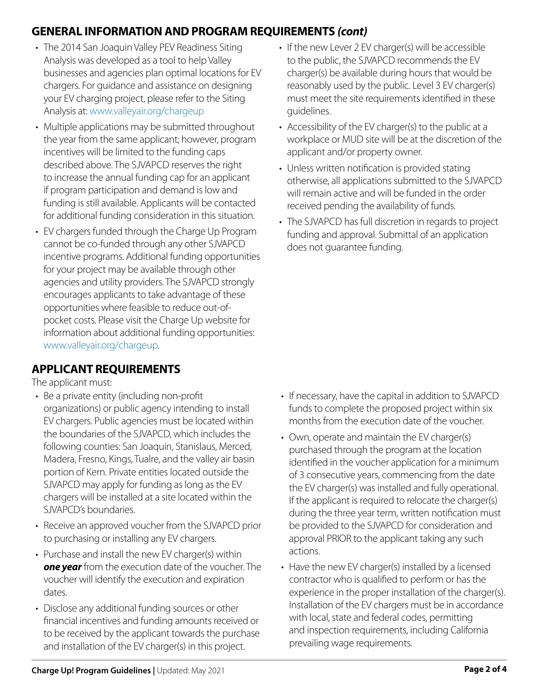# **GENERAL INFORMATION AND PROGRAM REQUIREMENTS** *(cont)*

- The 2014 San Joaquin Valley PEV Readiness Siting Analysis was developed as a tool to help Valley businesses and agencies plan optimal locations for EV chargers. For guidance and assistance on designing your EV charging project, please refer to the Siting Analysis at: www.valleyair.org/chargeup
- Multiple applications may be submitted throughout the year from the same applicant; however, program incentives will be limited to the funding caps described above. The SJVAPCD reserves the right to increase the annual funding cap for an applicant if program participation and demand is low and funding is still available. Applicants will be contacted for additional funding consideration in this situation.
- EV chargers funded through the Charge Up Program cannot be co-funded through any other SJVAPCD incentive programs. Additional funding opportunities for your project may be available through other agencies and utility providers. The SJVAPCD strongly encourages applicants to take advantage of these opportunities where feasible to reduce out-ofpocket costs. Please visit the Charge Up website for information about additional funding opportunities: www.valleyair.org/chargeup.

### **APPLICANT REQUIREMENTS**

The applicant must:

- Be a private entity (including non-profit organizations) or public agency intending to install EV chargers. Public agencies must be located within the boundaries of the SJVAPCD, which includes the following counties: San Joaquin, Stanislaus, Merced, Madera, Fresno, Kings, Tualre, and the valley air basin portion of Kern. Private entities located outside the SJVAPCD may apply for funding as long as the EV chargers will be installed at a site located within the SJVAPCD's boundaries.
- Receive an approved voucher from the SJVAPCD prior to purchasing or installing any EV chargers.
- Purchase and install the new EV charger(s) within *one year* from the execution date of the voucher. The voucher will identify the execution and expiration dates.
- Disclose any additional funding sources or other financial incentives and funding amounts received or to be received by the applicant towards the purchase and installation of the EV charger(s) in this project.
- If the new Lever 2 EV charger(s) will be accessible to the public, the SJVAPCD recommends the EV charger(s) be available during hours that would be reasonably used by the public. Level 3 EV charger(s) must meet the site requirements identified in these guidelines.
- Accessibility of the EV charger(s) to the public at a workplace or MUD site will be at the discretion of the applicant and/or property owner.
- Unless written notification is provided stating otherwise, all applications submitted to the SJVAPCD will remain active and will be funded in the order received pending the availability of funds.
- The SJVAPCD has full discretion in regards to project funding and approval. Submittal of an application does not guarantee funding.

- If necessary, have the capital in addition to SJVAPCD funds to complete the proposed project within six months from the execution date of the voucher.
- Own, operate and maintain the EV charger(s) purchased through the program at the location identified in the voucher application for a minimum of 3 consecutive years, commencing from the date the EV charger(s) was installed and fully operational. If the applicant is required to relocate the charger(s) during the three year term, written notification must be provided to the SJVAPCD for consideration and approval PRIOR to the applicant taking any such actions.
- Have the new EV charger(s) installed by a licensed contractor who is qualified to perform or has the experience in the proper installation of the charger(s). Installation of the EV chargers must be in accordance with local, state and federal codes, permitting and inspection requirements, including California prevailing wage requirements.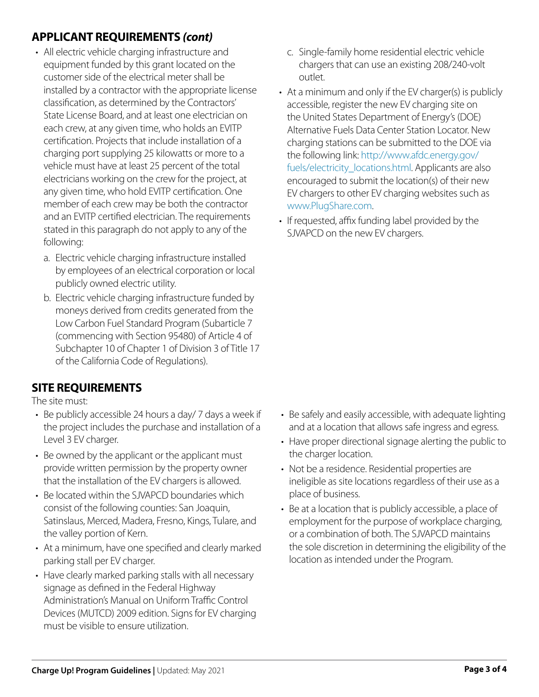# **APPLICANT REQUIREMENTS** *(cont)*

- All electric vehicle charging infrastructure and equipment funded by this grant located on the customer side of the electrical meter shall be installed by a contractor with the appropriate license classification, as determined by the Contractors' State License Board, and at least one electrician on each crew, at any given time, who holds an EVITP certification. Projects that include installation of a charging port supplying 25 kilowatts or more to a vehicle must have at least 25 percent of the total electricians working on the crew for the project, at any given time, who hold EVITP certification. One member of each crew may be both the contractor and an EVITP certified electrician. The requirements stated in this paragraph do not apply to any of the following:
	- a. Electric vehicle charging infrastructure installed by employees of an electrical corporation or local publicly owned electric utility.
	- b. Electric vehicle charging infrastructure funded by moneys derived from credits generated from the Low Carbon Fuel Standard Program (Subarticle 7 (commencing with Section 95480) of Article 4 of Subchapter 10 of Chapter 1 of Division 3 of Title 17 of the California Code of Regulations).

### **SITE REQUIREMENTS**

The site must:

- Be publicly accessible 24 hours a day/ 7 days a week if the project includes the purchase and installation of a Level 3 EV charger.
- Be owned by the applicant or the applicant must provide written permission by the property owner that the installation of the EV chargers is allowed.
- Be located within the SJVAPCD boundaries which consist of the following counties: San Joaquin, Satinslaus, Merced, Madera, Fresno, Kings, Tulare, and the valley portion of Kern.
- At a minimum, have one specified and clearly marked parking stall per EV charger.
- Have clearly marked parking stalls with all necessary signage as defined in the Federal Highway Administration's Manual on Uniform Traffic Control Devices (MUTCD) 2009 edition. Signs for EV charging must be visible to ensure utilization.
- c. Single-family home residential electric vehicle chargers that can use an existing 208/240-volt outlet.
- At a minimum and only if the EV charger(s) is publicly accessible, register the new EV charging site on the United States Department of Energy's (DOE) Alternative Fuels Data Center Station Locator. New charging stations can be submitted to the DOE via the following link: http://www.afdc.energy.gov/ fuels/electricity\_locations.html. Applicants are also encouraged to submit the location(s) of their new EV chargers to other EV charging websites such as www.PlugShare.com.
- If requested, affix funding label provided by the SJVAPCD on the new EV chargers.

- Be safely and easily accessible, with adequate lighting and at a location that allows safe ingress and egress.
- Have proper directional signage alerting the public to the charger location.
- Not be a residence. Residential properties are ineligible as site locations regardless of their use as a place of business.
- Be at a location that is publicly accessible, a place of employment for the purpose of workplace charging, or a combination of both. The SJVAPCD maintains the sole discretion in determining the eligibility of the location as intended under the Program.